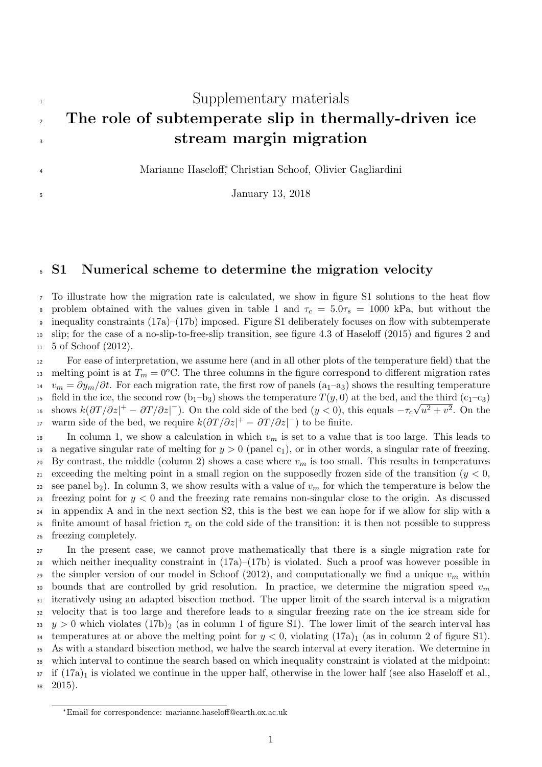# <span id="page-0-0"></span><sup>1</sup> Supplementary materials <sup>2</sup> The role of subtemperate slip in thermally-driven ice <sup>3</sup> stream margin migration

Marianne Haseloff<sup>∗</sup> <sup>4</sup> , Christian Schoof, Olivier Gagliardini

<sup>5</sup> January 13, 2018

#### <span id="page-0-1"></span><sup>6</sup> S1 Numerical scheme to determine the migration velocity

 To illustrate how the migration rate is calculated, we show in figure [S1](#page-1-0) solutions to the heat flow 8 problem obtained with the values given in table 1 and  $\tau_c = 5.0\tau_s = 1000$  kPa, but without the inequality constraints (17a)–(17b) imposed. Figure [S1](#page-1-0) deliberately focuses on flow with subtemperate slip; for the case of a no-slip-to-free-slip transition, see figure 4.3 of [Haseloff \(2015\)](#page-12-0) and figures 2 and 5 of [Schoof \(2012\)](#page-12-1).

<sup>12</sup> For ease of interpretation, we assume here (and in all other plots of the temperature field) that the 13 melting point is at  $T_m = 0$ <sup>o</sup>C. The three columns in the figure correspond to different migration rates  $v_m = \partial y_m/\partial t$ . For each migration rate, the first row of panels (a<sub>1</sub>–a<sub>3</sub>) shows the resulting temperature 15 field in the ice, the second row  $(b_1-b_3)$  shows the temperature  $T(y, 0)$  at the bed, and the third  $(c_1-c_3)$ <sup>16</sup> shows  $k(\partial T/\partial z)^+ - \partial T/\partial z$  on the cold side of the bed  $(y<0)$ , this equals  $-\tau_c\sqrt{u^2+v^2}$ . On the 17 warm side of the bed, we require  $k(\partial T/\partial z|^{+} - \partial T/\partial z|^{-})$  to be finite.

18 In column 1, we show a calculation in which  $v_m$  is set to a value that is too large. This leads to 19 a negative singular rate of melting for  $y > 0$  (panel c<sub>1</sub>), or in other words, a singular rate of freezing. 20 By contrast, the middle (column 2) shows a case where  $v_m$  is too small. This results in temperatures 21 exceeding the melting point in a small region on the supposedly frozen side of the transition ( $y < 0$ , 22 see panel b<sub>2</sub>). In column 3, we show results with a value of  $v_m$  for which the temperature is below the 23 freezing point for  $y < 0$  and the freezing rate remains non-singular close to the origin. As discussed <sup>24</sup> in appendix A and in the next section [S2,](#page-1-1) this is the best we can hope for if we allow for slip with a 25 finite amount of basal friction  $\tau_c$  on the cold side of the transition: it is then not possible to suppress <sup>26</sup> freezing completely.

<sup>27</sup> In the present case, we cannot prove mathematically that there is a single migration rate for <sup>28</sup> which neither inequality constraint in (17a)–(17b) is violated. Such a proof was however possible in <sup>29</sup> the simpler version of our model in [Schoof \(2012\)](#page-12-1), and computationally we find a unique  $v_m$  within 30 bounds that are controlled by grid resolution. In practice, we determine the migration speed  $v_m$ <sup>31</sup> iteratively using an adapted bisection method. The upper limit of the search interval is a migration <sup>32</sup> velocity that is too large and therefore leads to a singular freezing rate on the ice stream side for  $33 \, y > 0$  which violates (17b)<sub>2</sub> (as in column 1 of figure [S1\)](#page-1-0). The lower limit of the search interval has 34 temperatures at or above the melting point for  $y < 0$ , violating  $(17a)_1$  (as in column 2 of figure [S1\)](#page-1-0). <sup>35</sup> As with a standard bisection method, we halve the search interval at every iteration. We determine in <sup>36</sup> which interval to continue the search based on which inequality constraint is violated at the midpoint:  $37$  if  $(17a)_1$  is violated we continue in the upper half, otherwise in the lower half (see also [Haseloff et al.,](#page-12-2)  $38\quad 2015$ ).

<sup>∗</sup>Email for correspondence: marianne.haseloff@earth.ox.ac.uk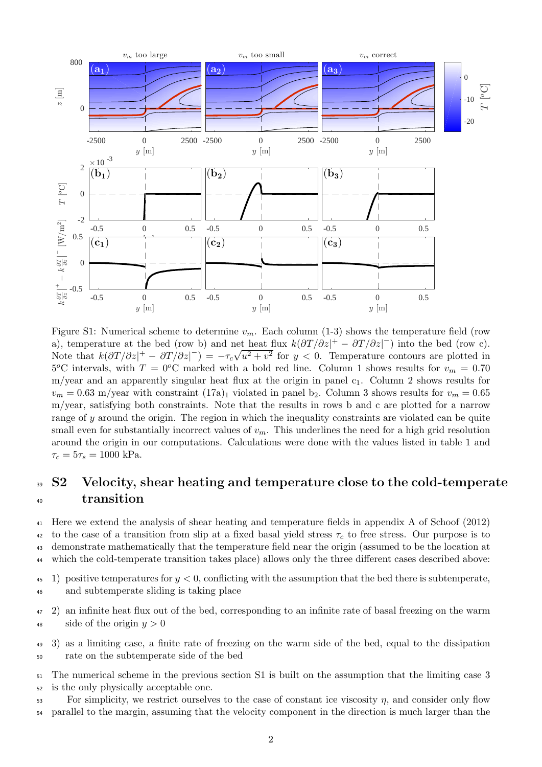

<span id="page-1-0"></span>Figure S1: Numerical scheme to determine  $v_m$ . Each column (1-3) shows the temperature field (row a), temperature at the bed (row b) and net heat flux  $k(\partial T/\partial z)^+ - \partial T/\partial z|$  into the bed (row c). Note that  $k(\partial T/\partial z)^+ - \partial T/\partial z|^+ = -\tau_c\sqrt{u^2+v^2}$  for  $y < 0$ . Temperature contours are plotted in  $5^{\circ}$ C intervals, with  $T = 0^{\circ}$ C marked with a bold red line. Column 1 shows results for  $v_m = 0.70$ m/year and an apparently singular heat flux at the origin in panel  $c_1$ . Column 2 shows results for  $v_m = 0.63$  m/year with constraint  $(17a)_1$  violated in panel b<sub>2</sub>. Column 3 shows results for  $v_m = 0.65$ m/year, satisfying both constraints. Note that the results in rows b and c are plotted for a narrow range of y around the origin. The region in which the inequality constraints are violated can be quite small even for substantially incorrect values of  $v_m$ . This underlines the need for a high grid resolution around the origin in our computations. Calculations were done with the values listed in table [1](#page-0-0) and  $\tau_c = 5\tau_s = 1000 \text{ kPa}.$ 

## <span id="page-1-1"></span><sup>39</sup> S2 Velocity, shear heating and temperature close to the cold-temperate <sup>40</sup> transition

 Here we extend the analysis of shear heating and temperature fields in appendix A of [Schoof \(2012\)](#page-12-1) 42 to the case of a transition from slip at a fixed basal yield stress  $\tau_c$  to free stress. Our purpose is to demonstrate mathematically that the temperature field near the origin (assumed to be the location at which the cold-temperate transition takes place) allows only the three different cases described above:

45 1) positive temperatures for  $y < 0$ , conflicting with the assumption that the bed there is subtemperate, <sup>46</sup> and subtemperate sliding is taking place

<sup>47</sup> 2) an infinite heat flux out of the bed, corresponding to an infinite rate of basal freezing on the warm 48 side of the origin  $y > 0$ 

- <span id="page-1-2"></span><sup>49</sup> 3) as a limiting case, a finite rate of freezing on the warm side of the bed, equal to the dissipation <sup>50</sup> rate on the subtemperate side of the bed
- <sup>51</sup> The numerical scheme in the previous section [S1](#page-0-1) is built on the assumption that the limiting case [3](#page-1-2) <sup>52</sup> is the only physically acceptable one.
- $\frac{53}{10}$  For simplicity, we restrict ourselves to the case of constant ice viscosity  $\eta$ , and consider only flow <sup>54</sup> parallel to the margin, assuming that the velocity component in the direction is much larger than the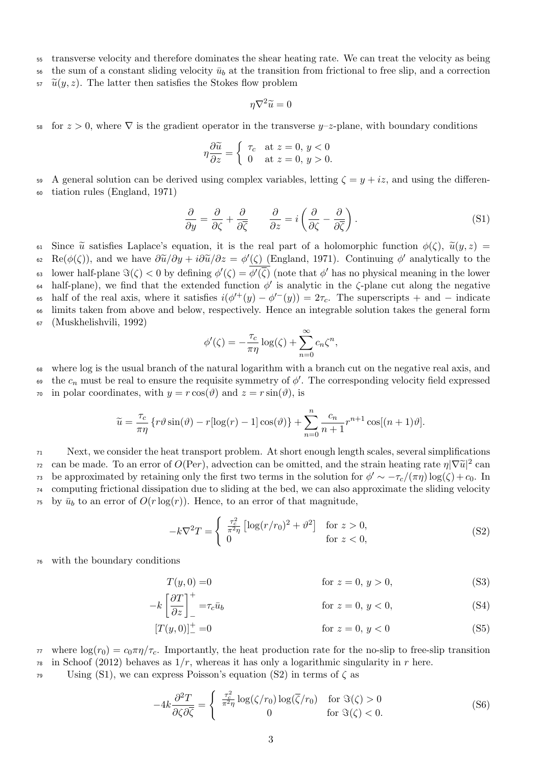<sup>55</sup> transverse velocity and therefore dominates the shear heating rate. We can treat the velocity as being

56 the sum of a constant sliding velocity  $\bar{u}_b$  at the transition from frictional to free slip, and a correction

 $\tilde{u}(y, z)$ . The latter then satisfies the Stokes flow problem

$$
\eta \nabla^2 \widetilde{u} = 0
$$

58 for  $z > 0$ , where  $\nabla$  is the gradient operator in the transverse  $y-z$ -plane, with boundary conditions

$$
\eta \frac{\partial \widetilde{u}}{\partial z} = \begin{cases} \tau_c & \text{at } z = 0, y < 0 \\ 0 & \text{at } z = 0, y > 0. \end{cases}
$$

59 A general solution can be derived using complex variables, letting  $\zeta = y + iz$ , and using the differen-<sup>60</sup> tiation rules [\(England, 1971\)](#page-12-3)

<span id="page-2-0"></span>
$$
\frac{\partial}{\partial y} = \frac{\partial}{\partial \zeta} + \frac{\partial}{\partial \overline{\zeta}} \qquad \frac{\partial}{\partial z} = i \left( \frac{\partial}{\partial \zeta} - \frac{\partial}{\partial \overline{\zeta}} \right). \tag{S1}
$$

61 Since  $\tilde{u}$  satisfies Laplace's equation, it is the real part of a holomorphic function  $\phi(\zeta)$ ,  $\tilde{u}(y, z) =$ <br>62 Re( $\phi(\zeta)$ ), and we have  $\partial \tilde{u}/\partial y + i \partial \tilde{u}/\partial z = \phi'(\zeta)$  (England, 1971). Continuing  $\phi'$  analy 62 Re( $\phi(\zeta)$ ), and we have  $\frac{\partial \widetilde{u}}{\partial y} + i\frac{\partial \widetilde{u}}{\partial z} = \phi'(\zeta)$  [\(England, 1971\)](#page-12-3). Continuing  $\phi'$  analytically to the 63 lower half-plane  $\Im(\zeta) < 0$  by defining  $\phi'(\zeta) = \phi'(\overline{\zeta})$  (note that  $\phi'$  has no physical meaning in the lower 64 half-plane), we find that the extended function  $\phi'$  is analytic in the  $\zeta$ -plane cut along the negative 65 half of the real axis, where it satisfies  $i(\phi^{++}(y) - \phi^{--}(y)) = 2\tau_c$ . The superscripts + and - indicate <sup>66</sup> limits taken from above and below, respectively. Hence an integrable solution takes the general form <sup>67</sup> [\(Muskhelishvili, 1992\)](#page-12-4)

$$
\phi'(\zeta) = -\frac{\tau_c}{\pi \eta} \log(\zeta) + \sum_{n=0}^{\infty} c_n \zeta^n,
$$

<sup>68</sup> where log is the usual branch of the natural logarithm with a branch cut on the negative real axis, and

69 the  $c_n$  must be real to ensure the requisite symmetry of  $\phi'$ . The corresponding velocity field expressed <sup>70</sup> in polar coordinates, with  $y = r \cos(\theta)$  and  $z = r \sin(\theta)$ , is

$$
\widetilde{u} = \frac{\tau_c}{\pi \eta} \left\{ r \vartheta \sin(\vartheta) - r [\log(r) - 1] \cos(\vartheta) \right\} + \sum_{n=0}^{n} \frac{c_n}{n+1} r^{n+1} \cos[(n+1)\vartheta].
$$

<sup>71</sup> Next, we consider the heat transport problem. At short enough length scales, several simplifications can be made. To an error of  $O(\text{Per})$ , advection can be omitted, and the strain heating rate  $\eta |\nabla \tilde{u}|^2$  can<br>be approximated by rateining only the first two terms in the solution for  $\phi'$  at  $\pi/(\pi n) \log(\zeta) + \epsilon_0$ . In be approximated by retaining only the first two terms in the solution for  $\phi' \sim -\tau_c/(\pi \eta) \log(\zeta) + c_0$ . In <sup>74</sup> computing frictional dissipation due to sliding at the bed, we can also approximate the sliding velocity <sup>75</sup> by  $\bar{u}_b$  to an error of  $O(r \log(r))$ . Hence, to an error of that magnitude,

<span id="page-2-2"></span><span id="page-2-1"></span>
$$
-k\nabla^2 T = \begin{cases} \frac{\tau_c^2}{\pi^2 \eta} \left[ \log(r/r_0)^2 + \vartheta^2 \right] & \text{for } z > 0, \\ 0 & \text{for } z < 0, \end{cases}
$$
(S2)

<sup>76</sup> with the boundary conditions

<span id="page-2-3"></span>
$$
T(y,0) = 0
$$
 for  $z = 0, y > 0,$  (S3)

$$
-k\left[\frac{\partial T}{\partial z}\right]_{-}^{+} = \tau_c \bar{u}_b \qquad \text{for } z = 0, y < 0,
$$
\n
$$
[T(y, 0)]_{-}^{+} = 0 \qquad \text{for } z = 0, y < 0
$$
\n(S5)

 $\pi$  where  $\log(r_0) = c_0 \pi \eta / \tau_c$ . Importantly, the heat production rate for the no-slip to free-slip transition  $\tau$ <sup>8</sup> in [Schoof \(2012\)](#page-12-1) behaves as  $1/r$ , whereas it has only a logarithmic singularity in r here.

 $\gamma$ <sup>9</sup> Using [\(S1\)](#page-2-0), we can express Poisson's equation [\(S2\)](#page-2-1) in terms of  $\zeta$  as

$$
-4k\frac{\partial^2 T}{\partial \zeta \partial \overline{\zeta}} = \begin{cases} \frac{\tau_c^2}{\pi^2 \eta} \log(\zeta/r_0) \log(\overline{\zeta}/r_0) & \text{for } \Im(\zeta) > 0\\ 0 & \text{for } \Im(\zeta) < 0. \end{cases}
$$
(S6)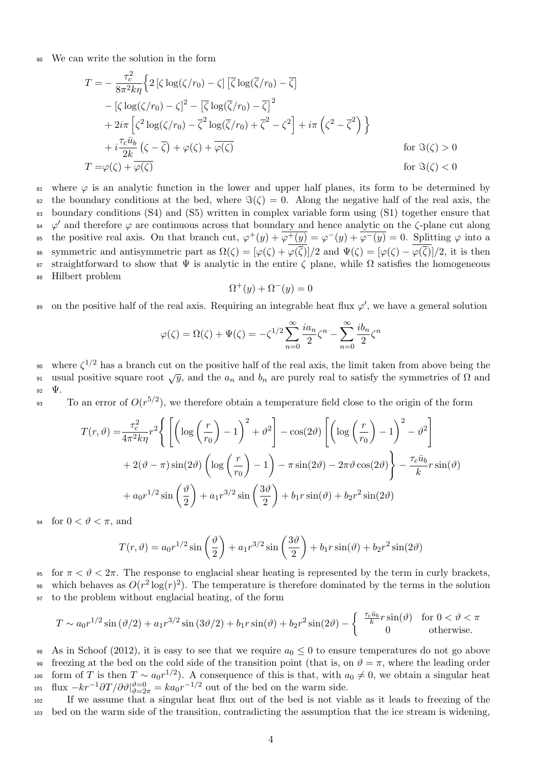<sup>80</sup> We can write the solution in the form

$$
T = -\frac{\tau_c^2}{8\pi^2 k \eta} \Big\{ 2 \left[ \zeta \log(\zeta/r_0) - \zeta \right] \left[ \overline{\zeta} \log(\overline{\zeta}/r_0) - \overline{\zeta} \right] - \left[ \zeta \log(\zeta/r_0) - \zeta \right]^2 - \left[ \overline{\zeta} \log(\overline{\zeta}/r_0) - \overline{\zeta} \right]^2 + 2i\pi \left[ \zeta^2 \log(\zeta/r_0) - \overline{\zeta}^2 \log(\overline{\zeta}/r_0) + \overline{\zeta}^2 - \zeta^2 \right] + i\pi \left( \zeta^2 - \overline{\zeta}^2 \right) \Big\} + i \frac{\tau_c \bar{u}_b}{2k} \left( \zeta - \overline{\zeta} \right) + \varphi(\zeta) + \overline{\varphi(\zeta)} \qquad \text{for } \Im(\zeta) > 0 T = \varphi(\zeta) + \overline{\varphi(\zeta)} \qquad \text{for } \Im(\zeta) < 0
$$

81 where  $\varphi$  is an analytic function in the lower and upper half planes, its form to be determined by 82 the boundary conditions at the bed, where  $\Im(\zeta) = 0$ . Along the negative half of the real axis, the <sup>83</sup> boundary conditions [\(S4\)](#page-2-2) and [\(S5\)](#page-2-3) written in complex variable form using [\(S1\)](#page-2-0) together ensure that <sup>84</sup>  $\varphi'$  and therefore  $\varphi$  are continuous across that boundary and hence analytic on the  $\zeta$ -plane cut along <sup>85</sup> the positive real axis. On that branch cut,  $\varphi^+(y) + \overline{\varphi^+(y)} = \varphi^-(y) + \overline{\varphi^-(y)} = 0$ . Splitting  $\varphi$  into a 86 symmetric and antisymmetric part as  $\Omega(\zeta) = [\varphi(\zeta) + \varphi(\overline{\zeta})]/2$  and  $\Psi(\zeta) = [\varphi(\zeta) - \varphi(\overline{\zeta})]/2$ , it is then 87 straightforward to show that  $\Psi$  is analytic in the entire  $\zeta$  plane, while  $\Omega$  satisfies the homogeneous <sup>88</sup> Hilbert problem

$$
\Omega^+(y) + \Omega^-(y) = 0
$$

s on the positive half of the real axis. Requiring an integrable heat flux  $\varphi'$ , we have a general solution

$$
\varphi(\zeta) = \Omega(\zeta) + \Psi(\zeta) = -\zeta^{1/2} \sum_{n=0}^{\infty} \frac{ia_n}{2} \zeta^n - \sum_{n=0}^{\infty} \frac{ib_n}{2} \zeta^n
$$

<sup>90</sup> where  $\zeta^{1/2}$  has a branch cut on the positive half of the real axis, the limit taken from above being the where  $\zeta^{1/2}$  has a branch cut on the positive half of the real axis, the limit taken from above being the usual positive square root  $\sqrt{y}$ , and the  $a_n$  and  $b_n$  are purely real to satisfy the symmetries of  $\Omega$  and <sup>92</sup> Ψ.

<sup>93</sup> To an error of  $O(r^{5/2})$ , we therefore obtain a temperature field close to the origin of the form

$$
T(r,\vartheta) = \frac{\tau_c^2}{4\pi^2 k \eta} r^2 \left\{ \left[ \left( \log \left( \frac{r}{r_0} \right) - 1 \right)^2 + \vartheta^2 \right] - \cos(2\vartheta) \left[ \left( \log \left( \frac{r}{r_0} \right) - 1 \right)^2 - \vartheta^2 \right] \right\}
$$
  
+ 2(\vartheta - \pi) \sin(2\vartheta) \left( \log \left( \frac{r}{r\_0} \right) - 1 \right) - \pi \sin(2\vartheta) - 2\pi\vartheta \cos(2\vartheta) \right\} - \frac{\tau\_c \bar{u}\_b}{k} r \sin(\vartheta)   
+ a\_0 r^{1/2} \sin\left(\frac{\vartheta}{2}\right) + a\_1 r^{3/2} \sin\left(\frac{3\vartheta}{2}\right) + b\_1 r \sin(\vartheta) + b\_2 r^2 \sin(2\vartheta)

94 for  $0 < \vartheta < \pi$ , and

$$
T(r,\vartheta) = a_0 r^{1/2} \sin\left(\frac{\vartheta}{2}\right) + a_1 r^{3/2} \sin\left(\frac{3\vartheta}{2}\right) + b_1 r \sin(\vartheta) + b_2 r^2 \sin(2\vartheta)
$$

95 for  $\pi < \vartheta < 2\pi$ . The response to englacial shear heating is represented by the term in curly brackets, <sup>96</sup> which behaves as  $O(r^2 \log(r)^2)$ . The temperature is therefore dominated by the terms in the solution <sup>97</sup> to the problem without englacial heating, of the form

$$
T \sim a_0 r^{1/2} \sin(\vartheta/2) + a_1 r^{3/2} \sin(3\vartheta/2) + b_1 r \sin(\vartheta) + b_2 r^2 \sin(2\vartheta) - \begin{cases} \frac{\tau_c \bar{u}_b}{k} r \sin(\vartheta) & \text{for } 0 < \vartheta < \pi \\ 0 & \text{otherwise.} \end{cases}
$$

98 As in [Schoof \(2012\)](#page-12-1), it is easy to see that we require  $a_0 \leq 0$  to ensure temperatures do not go above 99 freezing at the bed on the cold side of the transition point (that is, on  $\vartheta = \pi$ , where the leading order 100 form of T is then  $T \sim a_0 r^{1/2}$ ). A consequence of this is that, with  $a_0 \neq 0$ , we obtain a singular heat 101 flux  $-kr^{-1}\partial T/\partial \vartheta|_{\vartheta=2\pi}^{\vartheta=0} = ka_0r^{-1/2}$  out of the bed on the warm side.

<sup>102</sup> If we assume that a singular heat flux out of the bed is not viable as it leads to freezing of the <sup>103</sup> bed on the warm side of the transition, contradicting the assumption that the ice stream is widening,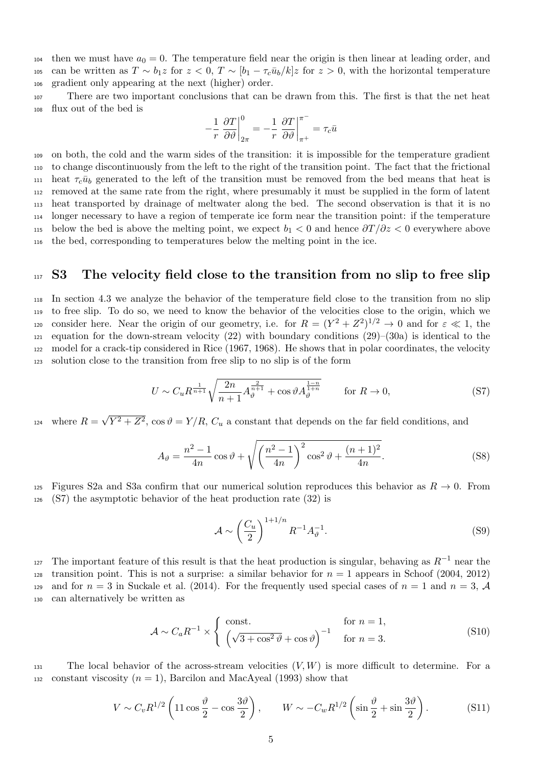104 then we must have  $a_0 = 0$ . The temperature field near the origin is then linear at leading order, and 105 can be written as  $T \sim b_1 z$  for  $z < 0$ ,  $T \sim [b_1 - \tau_c \bar{u}_b/k] z$  for  $z > 0$ , with the horizontal temperature <sup>106</sup> gradient only appearing at the next (higher) order.

<sup>107</sup> There are two important conclusions that can be drawn from this. The first is that the net heat <sup>108</sup> flux out of the bed is

$$
-\frac{1}{r}\left.\frac{\partial T}{\partial \vartheta}\right|_{2\pi}^0=-\frac{1}{r}\left.\frac{\partial T}{\partial \vartheta}\right|_{\pi^+}^{\pi^-}=\tau_c\bar{u}
$$

 on both, the cold and the warm sides of the transition: it is impossible for the temperature gradient to change discontinuously from the left to the right of the transition point. The fact that the frictional 111 heat  $\tau_c\bar{u}_b$  generated to the left of the transition must be removed from the bed means that heat is removed at the same rate from the right, where presumably it must be supplied in the form of latent heat transported by drainage of meltwater along the bed. The second observation is that it is no longer necessary to have a region of temperate ice form near the transition point: if the temperature 115 below the bed is above the melting point, we expect  $b_1 < 0$  and hence  $\partial T / \partial z < 0$  everywhere above the bed, corresponding to temperatures below the melting point in the ice.

#### <span id="page-4-3"></span><sup>117</sup> S3 The velocity field close to the transition from no slip to free slip

 In section [4.3](#page-0-0) we analyze the behavior of the temperature field close to the transition from no slip to free slip. To do so, we need to know the behavior of the velocities close to the origin, which we 120 consider here. Near the origin of our geometry, i.e. for  $R = (Y^2 + Z^2)^{1/2} \to 0$  and for  $\varepsilon \ll 1$ , the  $_{121}$  equation for the down-stream velocity [\(22\)](#page-7-0) with boundary conditions [\(29\)](#page-0-0)–[\(30a\)](#page-0-0) is identical to the model for a crack-tip considered in [Rice \(1967,](#page-12-5) [1968\)](#page-12-6). He shows that in polar coordinates, the velocity solution close to the transition from free slip to no slip is of the form

<span id="page-4-0"></span>
$$
U \sim C_u R^{\frac{1}{n+1}} \sqrt{\frac{2n}{n+1} A_{\vartheta}^{\frac{2}{n+1}} + \cos \vartheta A_{\vartheta}^{\frac{1-n}{1+n}}}
$$
 for  $R \to 0$ , (S7)

where  $R =$ √  $Y_{124}$  where  $R = \sqrt{Y^2 + Z^2}$ ,  $\cos \vartheta = Y/R$ ,  $C_u$  a constant that depends on the far field conditions, and

$$
A_{\vartheta} = \frac{n^2 - 1}{4n} \cos \vartheta + \sqrt{\left(\frac{n^2 - 1}{4n}\right)^2 \cos^2 \vartheta + \frac{(n+1)^2}{4n}}.
$$
 (S8)

125 Figures [S2a](#page-5-0) and [S3a](#page-6-0) confirm that our numerical solution reproduces this behavior as  $R \to 0$ . From <sup>126</sup> [\(S7\)](#page-4-0) the asymptotic behavior of the heat production rate [\(32\)](#page-0-0) is

<span id="page-4-2"></span><span id="page-4-1"></span>
$$
\mathcal{A} \sim \left(\frac{C_u}{2}\right)^{1+1/n} R^{-1} A_{\vartheta}^{-1}.
$$
\n
$$
(S9)
$$

127 The important feature of this result is that the heat production is singular, behaving as  $R^{-1}$  near the 128 transition point. This is not a surprise: a similar behavior for  $n = 1$  appears in [Schoof \(2004,](#page-12-7) [2012\)](#page-12-1) 129 and for  $n = 3$  in [Suckale et al. \(2014\)](#page-12-8). For the frequently used special cases of  $n = 1$  and  $n = 3$ , A <sup>130</sup> can alternatively be written as

$$
\mathcal{A} \sim C_a R^{-1} \times \begin{cases} \text{const.} & \text{for } n = 1, \\ \left(\sqrt{3 + \cos^2 \vartheta} + \cos \vartheta\right)^{-1} & \text{for } n = 3. \end{cases} \tag{S10}
$$

131 The local behavior of the across-stream velocities  $(V, W)$  is more difficult to determine. For a 132 constant viscosity  $(n = 1)$ , [Barcilon and MacAyeal \(1993\)](#page-12-9) show that

$$
V \sim C_v R^{1/2} \left( 11 \cos \frac{\vartheta}{2} - \cos \frac{3\vartheta}{2} \right), \qquad W \sim -C_w R^{1/2} \left( \sin \frac{\vartheta}{2} + \sin \frac{3\vartheta}{2} \right). \tag{S11}
$$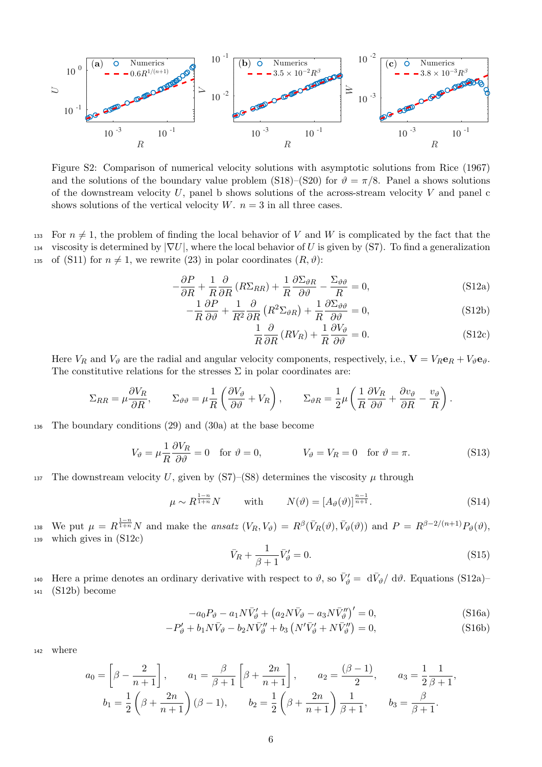

<span id="page-5-0"></span>Figure S2: Comparison of numerical velocity solutions with asymptotic solutions from [Rice \(1967\)](#page-12-5) and the solutions of the boundary value problem [\(S18\)](#page-6-1)–[\(S20\)](#page-6-2) for  $\vartheta = \pi/8$ . Panel a shows solutions of the downstream velocity  $U$ , panel b shows solutions of the across-stream velocity  $V$  and panel c shows solutions of the vertical velocity  $W$ .  $n = 3$  in all three cases.

133 For  $n \neq 1$ , the problem of finding the local behavior of V and W is complicated by the fact that the 134 viscosity is determined by  $|\nabla U|$ , where the local behavior of U is given by [\(S7\)](#page-4-0). To find a generalization 135 of [\(S11\)](#page-4-1) for  $n \neq 1$ , we rewrite [\(23\)](#page-0-0) in polar coordinates  $(R, \vartheta)$ :

$$
-\frac{\partial P}{\partial R} + \frac{1}{R} \frac{\partial}{\partial R} \left( R \Sigma_{RR} \right) + \frac{1}{R} \frac{\partial \Sigma_{\vartheta R}}{\partial \vartheta} - \frac{\Sigma_{\vartheta \vartheta}}{R} = 0, \tag{S12a}
$$

$$
-\frac{1}{R}\frac{\partial P}{\partial \vartheta} + \frac{1}{R^2}\frac{\partial}{\partial R}\left(R^2\Sigma_{\vartheta R}\right) + \frac{1}{R}\frac{\partial \Sigma_{\vartheta \vartheta}}{\partial \vartheta} = 0,\tag{S12b}
$$

<span id="page-5-7"></span><span id="page-5-3"></span><span id="page-5-2"></span><span id="page-5-1"></span>
$$
\frac{1}{R}\frac{\partial}{\partial R}\left(RV_R\right) + \frac{1}{R}\frac{\partial V_{\vartheta}}{\partial \vartheta} = 0.
$$
\n(S12c)

Here  $V_R$  and  $V_{\vartheta}$  are the radial and angular velocity components, respectively, i.e.,  $\mathbf{V} = V_R \mathbf{e}_R + V_{\vartheta} \mathbf{e}_{\vartheta}$ . The constitutive relations for the stresses  $\Sigma$  in polar coordinates are:

$$
\Sigma_{RR} = \mu \frac{\partial V_R}{\partial R}, \qquad \Sigma_{\vartheta\vartheta} = \mu \frac{1}{R} \left( \frac{\partial V_{\vartheta}}{\partial \vartheta} + V_R \right), \qquad \Sigma_{\vartheta R} = \frac{1}{2} \mu \left( \frac{1}{R} \frac{\partial V_R}{\partial \vartheta} + \frac{\partial v_{\vartheta}}{\partial R} - \frac{v_{\vartheta}}{R} \right).
$$

<sup>136</sup> The boundary conditions [\(29\)](#page-0-0) and [\(30a\)](#page-0-0) at the base become

$$
V_{\vartheta} = \mu \frac{1}{R} \frac{\partial V_R}{\partial \vartheta} = 0 \quad \text{for } \vartheta = 0, \qquad V_{\vartheta} = V_R = 0 \quad \text{for } \vartheta = \pi. \tag{S13}
$$

137 The downstream velocity U, given by  $(S7)$ – $(S8)$  determines the viscosity  $\mu$  through

<span id="page-5-8"></span>
$$
\mu \sim R^{\frac{1-n}{1+n}} N \qquad \text{with} \qquad N(\vartheta) = [A_{\vartheta}(\vartheta)]^{\frac{n-1}{n+1}}.
$$
 (S14)

138 We put  $\mu = R^{\frac{1-n}{1+n}} N$  and make the *ansatz*  $(V_R, V_{\vartheta}) = R^{\beta}(\bar{V}_R(\vartheta), \bar{V}_{\vartheta}(\vartheta))$  and  $P = R^{\beta-2/(n+1)} P_{\vartheta}(\vartheta)$ , <sup>139</sup> which gives in [\(S12c\)](#page-5-1)

<span id="page-5-6"></span><span id="page-5-5"></span><span id="page-5-4"></span>
$$
\bar{V}_R + \frac{1}{\beta + 1} \bar{V}'_\vartheta = 0.
$$
\n<sup>(S15)</sup>

Here a prime denotes an ordinary derivative with respect to  $\vartheta$ , so  $\bar{V}'_{\vartheta} = d\bar{V}_{\vartheta}/d\vartheta$ . Equations [\(S12a\)](#page-5-2)– <sup>141</sup> [\(S12b\)](#page-5-3) become

$$
-a_0 P_{\vartheta} - a_1 N \bar{V}'_{\vartheta} + (a_2 N \bar{V}_{\vartheta} - a_3 N \bar{V}''_{\vartheta})' = 0,
$$
\n(S16a)

$$
-P'_{\vartheta} + b_1 N \bar{V}_{\vartheta} - b_2 N \bar{V}_{\vartheta}'' + b_3 \left( N' \bar{V}_{\vartheta}' + N \bar{V}_{\vartheta}'' \right) = 0, \tag{S16b}
$$

<sup>142</sup> where

$$
a_0 = \left[\beta - \frac{2}{n+1}\right], \qquad a_1 = \frac{\beta}{\beta+1} \left[\beta + \frac{2n}{n+1}\right], \qquad a_2 = \frac{(\beta-1)}{2}, \qquad a_3 = \frac{1}{2} \frac{1}{\beta+1},
$$
  

$$
b_1 = \frac{1}{2} \left(\beta + \frac{2n}{n+1}\right) (\beta - 1), \qquad b_2 = \frac{1}{2} \left(\beta + \frac{2n}{n+1}\right) \frac{1}{\beta+1}, \qquad b_3 = \frac{\beta}{\beta+1}.
$$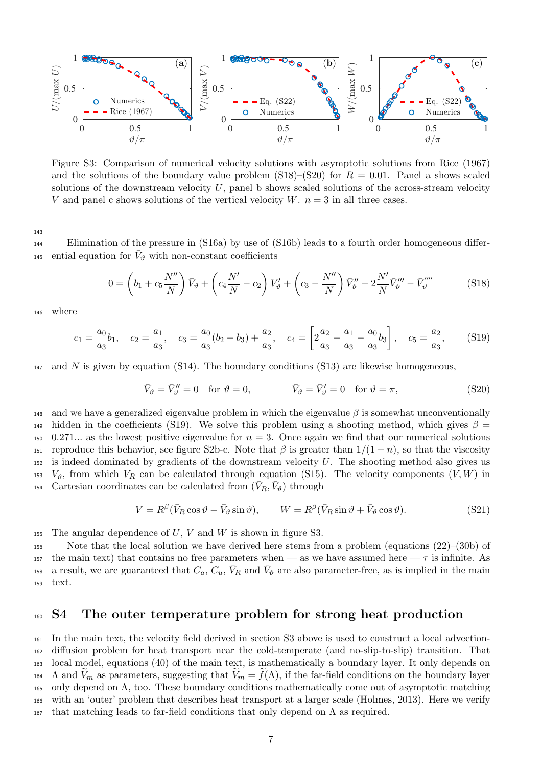

<span id="page-6-0"></span>Figure S3: Comparison of numerical velocity solutions with asymptotic solutions from [Rice \(1967\)](#page-12-5) and the solutions of the boundary value problem  $(S18)–(S20)$  $(S18)–(S20)$  for  $R = 0.01$ . Panel a shows scaled solutions of the downstream velocity  $U$ , panel b shows scaled solutions of the across-stream velocity V and panel c shows solutions of the vertical velocity  $W$ .  $n = 3$  in all three cases.

143

<sup>144</sup> Elimination of the pressure in [\(S16a\)](#page-5-4) by use of [\(S16b\)](#page-5-5) leads to a fourth order homogeneous differ-145 ential equation for  $V_{\vartheta}$  with non-constant coefficients

<span id="page-6-1"></span>
$$
0 = \left(b_1 + c_5 \frac{N''}{N}\right) \bar{V}_{\vartheta} + \left(c_4 \frac{N'}{N} - c_2\right) V_{\vartheta}' + \left(c_3 - \frac{N''}{N}\right) \bar{V}_{\vartheta}'' - 2 \frac{N'}{N} \bar{V}_{\vartheta}''' - \bar{V}_{\vartheta}'''' \tag{S18}
$$

<sup>146</sup> where

$$
c_1 = \frac{a_0}{a_3}b_1, \quad c_2 = \frac{a_1}{a_3}, \quad c_3 = \frac{a_0}{a_3}(b_2 - b_3) + \frac{a_2}{a_3}, \quad c_4 = \left[2\frac{a_2}{a_3} - \frac{a_1}{a_3} - \frac{a_0}{a_3}b_3\right], \quad c_5 = \frac{a_2}{a_3}, \tag{S19}
$$

 $_{147}$  and N is given by equation [\(S14\)](#page-5-6). The boundary conditions [\(S13\)](#page-5-7) are likewise homogeneous,

<span id="page-6-3"></span><span id="page-6-2"></span>
$$
\bar{V}_{\vartheta} = \bar{V}_{\vartheta}'' = 0 \quad \text{for } \vartheta = 0, \qquad \qquad \bar{V}_{\vartheta} = \bar{V}_{\vartheta}' = 0 \quad \text{for } \vartheta = \pi,
$$
\n
$$
(S20)
$$

148 and we have a generalized eigenvalue problem in which the eigenvalue  $\beta$  is somewhat unconventionally hidden in the coefficients [\(S19\)](#page-6-3). We solve this problem using a shooting method, which gives  $\beta =$ 150 0.271... as the lowest positive eigenvalue for  $n = 3$ . Once again we find that our numerical solutions 151 reproduce this behavior, see figure [S2b](#page-5-0)-c. Note that  $\beta$  is greater than  $1/(1+n)$ , so that the viscosity  $152$  is indeed dominated by gradients of the downstream velocity U. The shooting method also gives us 153  $V_{\vartheta}$ , from which  $V_R$  can be calculated through equation [\(S15\)](#page-5-8). The velocity components  $(V, W)$  in <sup>154</sup> Cartesian coordinates can be calculated from  $(\bar{V}_R, \bar{V}_\vartheta)$  through

$$
V = R^{\beta}(\bar{V}_R \cos \vartheta - \bar{V}_{\vartheta} \sin \vartheta), \qquad W = R^{\beta}(\bar{V}_R \sin \vartheta + \bar{V}_{\vartheta} \cos \vartheta). \tag{S21}
$$

155 The angular dependence of  $U, V$  and  $W$  is shown in figure [S3.](#page-6-0)

<sup>156</sup> Note that the local solution we have derived here stems from a problem (equations [\(22\)](#page-7-0)–[\(30b\)](#page-0-0) of 157 the main text) that contains no free parameters when — as we have assumed here —  $\tau$  is infinite. As 158 a result, we are guaranteed that  $C_a$ ,  $C_u$ ,  $\bar{V}_R$  and  $\bar{V}_\vartheta$  are also parameter-free, as is implied in the main <sup>159</sup> text.

#### <span id="page-6-4"></span><sup>160</sup> S4 The outer temperature problem for strong heat production

 In the main text, the velocity field derived in section [S3](#page-4-3) above is used to construct a local advection- diffusion problem for heat transport near the cold-temperate (and no-slip-to-slip) transition. That local model, equations [\(40\)](#page-0-0) of the main text, is mathematically a boundary layer. It only depends on 164 A and  $\widetilde{V}_m$  as parameters, suggesting that  $\widetilde{V}_m = \widetilde{f}(\Lambda)$ , if the far-field conditions on the boundary layer only depend on Λ, too. These boundary conditions mathematically come out of asymptotic matching with an 'outer' problem that describes heat transport at a larger scale [\(Holmes, 2013\)](#page-12-10). Here we verify 167 that matching leads to far-field conditions that only depend on  $\Lambda$  as required.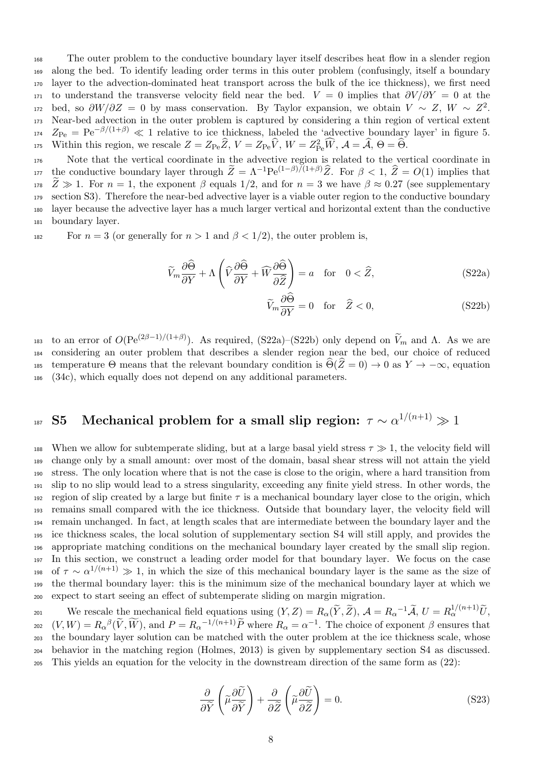<sup>168</sup> The outer problem to the conductive boundary layer itself describes heat flow in a slender region <sup>169</sup> along the bed. To identify leading order terms in this outer problem (confusingly, itself a boundary <sup>170</sup> layer to the advection-dominated heat transport across the bulk of the ice thickness), we first need 171 to understand the transverse velocity field near the bed.  $V = 0$  implies that  $\partial V/\partial Y = 0$  at the 172 bed, so  $\partial W/\partial Z = 0$  by mass conservation. By Taylor expansion, we obtain  $V \sim Z$ ,  $W \sim Z^2$ . <sup>173</sup> Near-bed advection in the outer problem is captured by considering a thin region of vertical extent  $Z_{\text{Pe}} = \text{Pe}^{-\beta/(1+\beta)} \ll 1$  relative to ice thickness, labeled the 'advective boundary layer' in figure [5.](#page-0-0) 175 Within this region, we rescale  $Z = Z_{\text{Pe}}\widehat{Z}$ ,  $V = Z_{\text{Pe}}\widehat{V}$ ,  $W = Z_{\text{Pe}}^2\widehat{W}$ ,  $\mathcal{A} = \widehat{\mathcal{A}}$ ,  $\Theta = \widehat{\Theta}$ .

 Note that the vertical coordinate in the advective region is related to the vertical coordinate in the conductive boundary layer through  $\widetilde{Z} = \Lambda^{-1} \text{Pe}^{(1-\beta)/(1+\beta)} \widehat{Z}$ . For  $\beta < 1$ ,  $\widehat{Z} = O(1)$  implies that  $\bar{Z} \gg 1$ . For  $n = 1$ , the exponent  $\beta$  equals 1/2, and for  $n = 3$  we have  $\beta \approx 0.27$  (see supplementary section S3). Therefore the near-bed advective layer is a viable outer region to the conductive boundary section [S3\)](#page-4-3). Therefore the near-bed advective layer is a viable outer region to the conductive boundary layer because the advective layer has a much larger vertical and horizontal extent than the conductive boundary layer.

182 For  $n = 3$  (or generally for  $n > 1$  and  $\beta < 1/2$ ), the outer problem is,

$$
\widetilde{V}_m \frac{\partial \widehat{\Theta}}{\partial Y} + \Lambda \left( \widehat{V} \frac{\partial \widehat{\Theta}}{\partial Y} + \widehat{W} \frac{\partial \widehat{\Theta}}{\partial \widehat{Z}} \right) = a \quad \text{for} \quad 0 < \widehat{Z}, \tag{S22a}
$$

<span id="page-7-2"></span><span id="page-7-1"></span><span id="page-7-0"></span>
$$
\widetilde{V}_m \frac{\partial \widetilde{\Theta}}{\partial Y} = 0 \quad \text{for} \quad \widehat{Z} < 0,\tag{S22b}
$$

to an error of  $O(Pe^{(2\beta-1)/(1+\beta)})$ . As required, [\(S22a\)](#page-7-1)–[\(S22b\)](#page-7-2) only depend on  $\tilde{V}_m$  and Λ. As we are <sup>184</sup> considering an outer problem that describes a slender region near the bed, our choice of reduced 185 temperature Θ means that the relevant boundary condition is  $\Theta(Z = 0) \to 0$  as  $Y \to -\infty$ , equation <sup>186</sup> [\(34c\)](#page-0-0), which equally does not depend on any additional parameters.

# $_{^{187}}$  S5 Mechanical problem for a small slip region:  $\tau \sim \alpha^{1/(n+1)} \gg 1$

188 When we allow for subtemperate sliding, but at a large basal yield stress  $\tau \gg 1$ , the velocity field will change only by a small amount: over most of the domain, basal shear stress will not attain the yield stress. The only location where that is not the case is close to the origin, where a hard transition from slip to no slip would lead to a stress singularity, exceeding any finite yield stress. In other words, the 192 region of slip created by a large but finite  $\tau$  is a mechanical boundary layer close to the origin, which remains small compared with the ice thickness. Outside that boundary layer, the velocity field will remain unchanged. In fact, at length scales that are intermediate between the boundary layer and the ice thickness scales, the local solution of supplementary section [S4](#page-6-4) will still apply, and provides the appropriate matching conditions on the mechanical boundary layer created by the small slip region. In this section, we construct a leading order model for that boundary layer. We focus on the case <sup>198</sup> of  $\tau \sim \alpha^{1/(n+1)} \gg 1$ , in which the size of this mechanical boundary layer is the same as the size of the thermal boundary layer: this is the minimum size of the mechanical boundary layer at which we expect to start seeing an effect of subtemperate sliding on margin migration.

We rescale the mechanical field equations using  $(Y, Z) = R_{\alpha}(\tilde{Y}, \tilde{Z}), \mathcal{A} = R_{\alpha}^{-1} \tilde{\mathcal{A}}, U = R_{\alpha}^{1/(n+1)} \tilde{U},$  $(V, W) = R_{\alpha}{}^{\beta}(\widetilde{V}, \widetilde{W})$ , and  $P = R_{\alpha}{}^{-1/(n+1)}\widetilde{P}$  where  $R_{\alpha} = \alpha^{-1}$ . The choice of exponent  $\beta$  ensures that the boundary layer solution can be matched with the outer problem at the ice thickness scale, whose behavior in the matching region [\(Holmes, 2013\)](#page-12-10) is given by supplementary section [S4](#page-6-4) as discussed. This yields an equation for the velocity in the downstream direction of the same form as [\(22\)](#page-7-0):

<span id="page-7-3"></span>
$$
\frac{\partial}{\partial \widetilde{Y}}\left(\widetilde{\mu}\frac{\partial \widetilde{U}}{\partial \widetilde{Y}}\right) + \frac{\partial}{\partial \widetilde{Z}}\left(\widetilde{\mu}\frac{\partial \widetilde{U}}{\partial \widetilde{Z}}\right) = 0.
$$
\n(S23)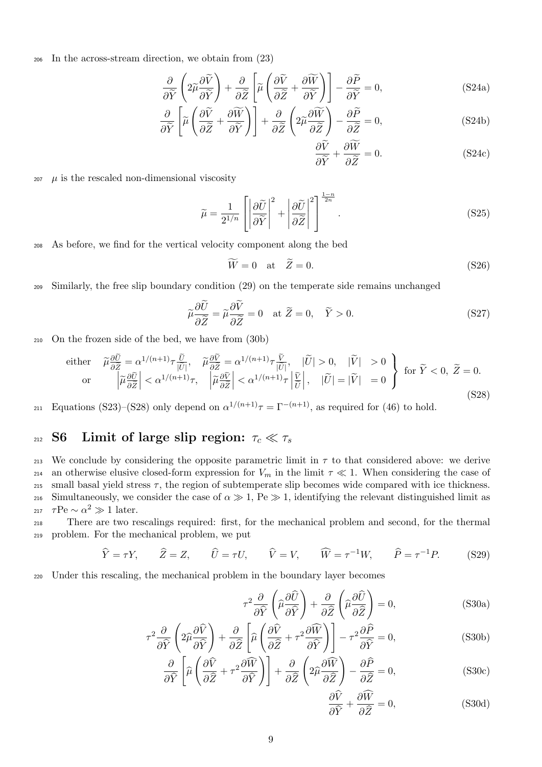<sup>206</sup> In the across-stream direction, we obtain from [\(23\)](#page-0-0)

$$
\frac{\partial}{\partial \widetilde{Y}} \left( 2\widetilde{\mu} \frac{\partial \widetilde{V}}{\partial \widetilde{Y}} \right) + \frac{\partial}{\partial \widetilde{Z}} \left[ \widetilde{\mu} \left( \frac{\partial \widetilde{V}}{\partial \widetilde{Z}} + \frac{\partial \widetilde{W}}{\partial \widetilde{Y}} \right) \right] - \frac{\partial \widetilde{P}}{\partial \widetilde{Y}} = 0,
$$
\n(S24a)

$$
\frac{\partial}{\partial \widetilde{Y}} \left[ \widetilde{\mu} \left( \frac{\partial \widetilde{V}}{\partial \widetilde{Z}} + \frac{\partial \widetilde{W}}{\partial \widetilde{Y}} \right) \right] + \frac{\partial}{\partial \widetilde{Z}} \left( 2 \widetilde{\mu} \frac{\partial \widetilde{W}}{\partial \widetilde{Z}} \right) - \frac{\partial \widetilde{P}}{\partial \widetilde{Z}} = 0, \tag{S24b}
$$

$$
\frac{\partial V}{\partial \tilde{Y}} + \frac{\partial W}{\partial \tilde{Z}} = 0.
$$
 (S24c)

 $207 \mu$  is the rescaled non-dimensional viscosity

$$
\widetilde{\mu} = \frac{1}{2^{1/n}} \left[ \left| \frac{\partial \widetilde{U}}{\partial \widetilde{Y}} \right|^2 + \left| \frac{\partial \widetilde{U}}{\partial \widetilde{Z}} \right|^2 \right]^\frac{1-n}{2n}.
$$
\n(S25)

<sup>208</sup> As before, we find for the vertical velocity component along the bed

<span id="page-8-0"></span>
$$
\widetilde{W} = 0 \quad \text{at} \quad \widetilde{Z} = 0. \tag{S26}
$$

<sup>209</sup> Similarly, the free slip boundary condition [\(29\)](#page-0-0) on the temperate side remains unchanged

$$
\tilde{\mu}\frac{\partial \tilde{U}}{\partial \tilde{Z}} = \tilde{\mu}\frac{\partial \tilde{V}}{\partial \tilde{Z}} = 0 \quad \text{at } \tilde{Z} = 0, \quad \tilde{Y} > 0.
$$
\n
$$
(S27)
$$

<sup>210</sup> On the frozen side of the bed, we have from [\(30b\)](#page-0-0)

either 
$$
\widetilde{\mu}\frac{\partial \widetilde{U}}{\partial \widetilde{Z}} = \alpha^{1/(n+1)}\tau \frac{\widetilde{U}}{|\widetilde{U}|}, \quad \widetilde{\mu}\frac{\partial \widetilde{V}}{\partial \widetilde{Z}} = \alpha^{1/(n+1)}\tau \frac{\widetilde{V}}{|\widetilde{U}|}, \quad |\widetilde{U}| > 0, \quad |\widetilde{V}| > 0
$$
  
or  $\left| \widetilde{\mu}\frac{\partial \widetilde{U}}{\partial \widetilde{Z}} \right| < \alpha^{1/(n+1)}\tau, \quad \left| \widetilde{\mu}\frac{\partial \widetilde{V}}{\partial \widetilde{Z}} \right| < \alpha^{1/(n+1)}\tau \left| \frac{\widetilde{V}}{\widetilde{U}} \right|, \quad |\widetilde{U}| = |\widetilde{V}| = 0$  for  $\widetilde{Y} < 0, \ \widetilde{Z} = 0$ . (S28)

211 Equations [\(S23\)](#page-7-3)–[\(S28\)](#page-8-0) only depend on  $\alpha^{1/(n+1)}\tau = \Gamma^{-(n+1)}$ , as required for [\(46\)](#page-0-0) to hold.

## 212 S6 Limit of large slip region:  $\tau_c \ll \tau_s$

213 We conclude by considering the opposite parametric limit in  $\tau$  to that considered above: we derive 214 an otherwise elusive closed-form expression for  $V_m$  in the limit  $\tau \ll 1$ . When considering the case of 215 small basal yield stress  $\tau$ , the region of subtemperate slip becomes wide compared with ice thickness. 216 Simultaneously, we consider the case of  $\alpha \gg 1$ , Pe  $\gg 1$ , identifying the relevant distinguished limit as <sub>217</sub>  $τPe ~ α^2 \gg 1$  later.

<sup>218</sup> There are two rescalings required: first, for the mechanical problem and second, for the thermal <sup>219</sup> problem. For the mechanical problem, we put

$$
\widehat{Y} = \tau Y, \qquad \widehat{Z} = Z, \qquad \widehat{U} = \tau U, \qquad \widehat{V} = V, \qquad \widehat{W} = \tau^{-1} W, \qquad \widehat{P} = \tau^{-1} P. \tag{S29}
$$

<sup>220</sup> Under this rescaling, the mechanical problem in the boundary layer becomes

$$
\tau^2 \frac{\partial}{\partial \hat{Y}} \left( \hat{\mu} \frac{\partial \hat{U}}{\partial \hat{Y}} \right) + \frac{\partial}{\partial \hat{Z}} \left( \hat{\mu} \frac{\partial \hat{U}}{\partial \hat{Z}} \right) = 0, \tag{S30a}
$$

$$
\tau^2 \frac{\partial}{\partial \hat{Y}} \left( 2\hat{\mu} \frac{\partial \hat{V}}{\partial \hat{Y}} \right) + \frac{\partial}{\partial \hat{Z}} \left[ \hat{\mu} \left( \frac{\partial \hat{V}}{\partial \hat{Z}} + \tau^2 \frac{\partial \hat{W}}{\partial \hat{Y}} \right) \right] - \tau^2 \frac{\partial \hat{P}}{\partial \hat{Y}} = 0,
$$
\n(S30b)

$$
\frac{\partial}{\partial \widehat{Y}} \left[ \widehat{\mu} \left( \frac{\partial \widehat{V}}{\partial \widehat{Z}} + \tau^2 \frac{\partial \widehat{W}}{\partial \widehat{Y}} \right) \right] + \frac{\partial}{\partial \widehat{Z}} \left( 2 \widehat{\mu} \frac{\partial \widehat{W}}{\partial \widehat{Z}} \right) - \frac{\partial \widehat{P}}{\partial \widehat{Z}} = 0, \tag{S30c}
$$

<span id="page-8-4"></span><span id="page-8-3"></span><span id="page-8-2"></span><span id="page-8-1"></span>
$$
\frac{\partial V}{\partial \hat{Y}} + \frac{\partial W}{\partial \hat{Z}} = 0,
$$
 (S30d)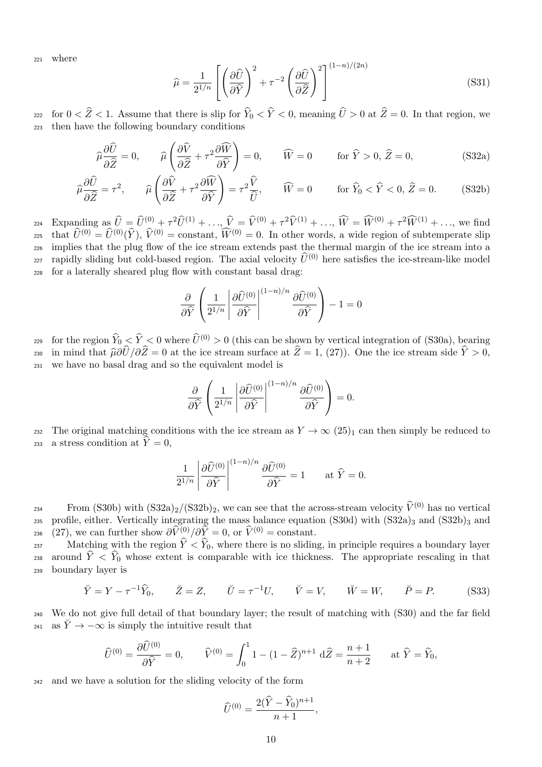<sup>221</sup> where

<span id="page-9-0"></span>
$$
\widehat{\mu} = \frac{1}{2^{1/n}} \left[ \left( \frac{\partial \widehat{U}}{\partial \widehat{Y}} \right)^2 + \tau^{-2} \left( \frac{\partial \widehat{U}}{\partial \widehat{Z}} \right)^2 \right]^{(1-n)/(2n)} \tag{S31}
$$

for  $0 < \hat{Z} < 1$ . Assume that there is slip for  $\hat{Y}_0 < \hat{Y} < 0$ , meaning  $\hat{U} > 0$  at  $\hat{Z} = 0$ . In that region, we then have the following boundary conditions

$$
\widehat{\mu}\frac{\partial\widehat{U}}{\partial\widehat{Z}}=0,\qquad\widehat{\mu}\left(\frac{\partial\widehat{V}}{\partial\widehat{Z}}+\tau^2\frac{\partial\widehat{W}}{\partial\widehat{Y}}\right)=0,\qquad\widehat{W}=0\qquad\text{for }\widehat{Y}>0,\,\widehat{Z}=0,\tag{S32a}
$$

$$
\widehat{\mu}\frac{\partial\widehat{U}}{\partial\widehat{Z}} = \tau^2, \qquad \widehat{\mu}\left(\frac{\partial\widehat{V}}{\partial\widehat{Z}} + \tau^2 \frac{\partial\widehat{W}}{\partial\widehat{Y}}\right) = \tau^2 \frac{\widehat{V}}{\widehat{U}}, \qquad \widehat{W} = 0 \qquad \text{for } \widehat{Y}_0 < \widehat{Y} < 0, \widehat{Z} = 0. \tag{S32b}
$$

 $\mathbb{E}(\mathbf{X}_1 \cap \mathbf{X}_2) = \mathbb{E}(\mathbf{X}_2 \cap \mathbf{X}_3) = \mathbb{E}(\mathbf{X}_1 \cap \mathbf{X}_2) = \mathbb{E}(\mathbf{X}_1 \cap \mathbf{X}_2) = \mathbb{E}(\mathbf{X}_1 \cap \mathbf{X}_2) = \mathbb{E}(\mathbf{X}_2 \cap \mathbf{X}_3) = \mathbb{E}(\mathbf{X}_1 \cap \mathbf{X}_2) = \mathbb{E}(\mathbf{X}_1 \cap \mathbf{X}_3) = \mathbb{E}(\mathbf{X}_1 \cap \mathbf{X}_3) = \mathbb{$ that  $\hat{U}^{(0)} = \hat{U}^{(0)}(\hat{Y})$ ,  $\hat{V}^{(0)} = \text{constant}$ ,  $\hat{W}^{(0)} = 0$ . In other words, a wide region of subtemperate slip<br>226 implies that the plug flow of the ice stream extends past the thermal margin of the ice stream int implies that the plug flow of the ice stream extends past the thermal margin of the ice stream into a rapidly sliding but cold-based region. The axial velocity  $\hat{U}^{(0)}$  here satisfies the ice-stream-like model<br>228 for a laterally sheared plug flow with constant basal drag. for a laterally sheared plug flow with constant basal drag:

<span id="page-9-1"></span>
$$
\frac{\partial}{\partial \hat{Y}} \left( \frac{1}{2^{1/n}} \left| \frac{\partial \hat{U}^{(0)}}{\partial \hat{Y}} \right|^{(1-n)/n} \frac{\partial \hat{U}^{(0)}}{\partial \hat{Y}} \right) - 1 = 0
$$

for the region  $\hat{Y}_0 < \hat{Y} < 0$  where  $\hat{U}^{(0)} > 0$  (this can be shown by vertical integration of [\(S30a\)](#page-8-1), bearing  $\hat{Y}_0$  in mind that  $\hat{u}\partial \hat{U}/\partial \hat{Z} = 0$  at the ice stream surface at  $\hat{Z} = 1$ , (27)). One the ice 230 in mind that  $\hat{\mu}\partial \hat{U}/\partial \hat{Z} = 0$  at the ice stream surface at  $\hat{Z} = 1$ , [\(27\)](#page-0-0)). One the ice stream side  $\hat{Y} > 0$ , <br>231 we have no basal drag and so the equivalent model is we have no basal drag and so the equivalent model is

$$
\frac{\partial}{\partial \widehat{Y}}\left(\frac{1}{2^{1/n}}\left|\frac{\partial \widehat{U}^{(0)}}{\partial \widehat{Y}}\right|^{(1-n)/n}\frac{\partial \widehat{U}^{(0)}}{\partial \widehat{Y}}\right)=0.
$$

232 The original matching conditions with the ice stream as  $Y \to \infty$  [\(25\)](#page-0-0)<sub>1</sub> can then simply be reduced to 233 a stress condition at  $\hat{Y} = 0$ ,

$$
\frac{1}{2^{1/n}} \left| \frac{\partial \widehat{U}^{(0)}}{\partial \widehat{Y}} \right|^{(1-n)/n} \frac{\partial \widehat{U}^{(0)}}{\partial \widehat{Y}} = 1 \quad \text{at } \widehat{Y} = 0.
$$

From [\(S30b\)](#page-8-2) with  $(S32a)_2/(S32b)_2$  $(S32a)_2/(S32b)_2$  $(S32a)_2/(S32b)_2$ , we can see that the across-stream velocity  $\hat{V}^{(0)}$  has no vertical profile, either. Vertically integrating the mass balance equation (S30d) with  $(S32a)_3$  and  $(S32b)_3$  and profile, either. Vertically integrating the mass balance equation [\(S30d\)](#page-8-3) with  $(S32a)_{3}$  and  $(S32b)_{3}$  and <sup>236</sup> [\(27\)](#page-0-0), we can further show  $\frac{\partial \widehat{V}^{(0)}}{\partial \widehat{Y}} = 0$ , or  $\widehat{V}^{(0)} = \text{constant}$ .<br><sup>237</sup> Matching with the region  $\widehat{Y} < \widehat{Y}_0$ , where there is no sliding

Matching with the region  $\hat{Y} < \hat{Y}_0$ , where there is no sliding, in principle requires a boundary layer 238 around  $\hat{Y} < \hat{Y}_0$  whose extent is comparable with ice thickness. The appropriate rescaling in that <sup>239</sup> boundary layer is

$$
\breve{Y} = Y - \tau^{-1} \widehat{Y}_0, \qquad \breve{Z} = Z, \qquad \breve{U} = \tau^{-1} U, \qquad \breve{V} = V, \qquad \breve{W} = W, \qquad \breve{P} = P. \tag{S33}
$$

<sup>240</sup> We do not give full detail of that boundary layer; the result of matching with [\(S30\)](#page-8-4) and the far field <sup>241</sup> as  $\check{Y} \rightarrow -\infty$  is simply the intuitive result that

$$
\widehat{U}^{(0)} = \frac{\partial \widehat{U}^{(0)}}{\partial \widehat{Y}} = 0, \qquad \widehat{V}^{(0)} = \int_0^1 1 - (1 - \widehat{Z})^{n+1} d\widehat{Z} = \frac{n+1}{n+2} \qquad \text{at } \widehat{Y} = \widehat{Y}_0,
$$

<sup>242</sup> and we have a solution for the sliding velocity of the form

$$
\widehat{U}^{(0)} = \frac{2(\widehat{Y} - \widehat{Y}_0)^{n+1}}{n+1},
$$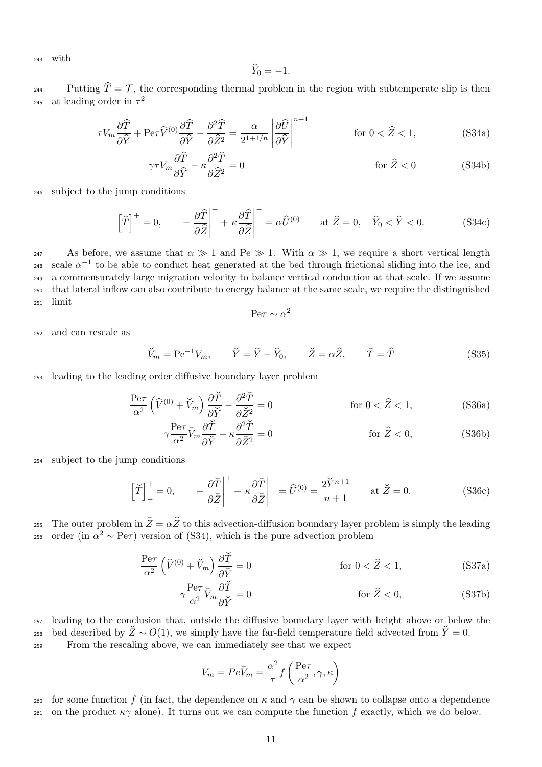<sup>243</sup> with

$$
\widehat{Y}_0 = -1.
$$

Putting  $\hat{T} = \mathcal{T}$ , the corresponding thermal problem in the region with subtemperate slip is then at leading order in  $\tau^2$ 245

<span id="page-10-0"></span>
$$
\tau V_m \frac{\partial \widehat{T}}{\partial \widehat{Y}} + \text{Per}\widehat{V}^{(0)} \frac{\partial \widehat{T}}{\partial \widehat{Y}} - \frac{\partial^2 \widehat{T}}{\partial \widehat{Z}^2} = \frac{\alpha}{2^{1+1/n}} \left| \frac{\partial \widehat{U}}{\partial \widehat{Y}} \right|^{n+1} \qquad \text{for } 0 < \widehat{Z} < 1,\tag{S34a}
$$

$$
\gamma \tau V_m \frac{\partial \widehat{T}}{\partial \widehat{Y}} - \kappa \frac{\partial^2 \widehat{T}}{\partial \widehat{Z}^2} = 0
$$
 for  $\widehat{Z} < 0$  (S34b)

<sup>246</sup> subject to the jump conditions

$$
\left[\widehat{T}\right]_{-}^{+}=0, \qquad -\frac{\partial\widehat{T}}{\partial\widehat{Z}}\bigg|_{+}^{+}+\kappa\frac{\partial\widehat{T}}{\partial\widehat{Z}}\bigg|_{-}^{-}= \alpha\widehat{U}^{(0)} \qquad \text{at } \widehat{Z}=0, \quad \widehat{Y}_{0} < \widehat{Y} < 0. \tag{S34c}
$$

247 As before, we assume that  $\alpha \gg 1$  and Pe  $\gg 1$ . With  $\alpha \gg 1$ , we require a short vertical length 248 scale  $\alpha^{-1}$  to be able to conduct heat generated at the bed through frictional sliding into the ice, and <sup>249</sup> a commensurately large migration velocity to balance vertical conduction at that scale. If we assume <sup>250</sup> that lateral inflow can also contribute to energy balance at the same scale, we require the distinguished <sup>251</sup> limit

<span id="page-10-2"></span>
$$
\text{Pe}\tau \sim \alpha^2
$$

<sup>252</sup> and can rescale as

$$
\check{V}_m = \text{Pe}^{-1} V_m, \qquad \check{Y} = \hat{Y} - \hat{Y}_0, \qquad \check{Z} = \alpha \hat{Z}, \qquad \check{T} = \hat{T}
$$
\n(S35)

<sup>253</sup> leading to the leading order diffusive boundary layer problem

$$
\frac{\text{Pe}\tau}{\alpha^2} \left( \widehat{V}^{(0)} + \widecheck{V}_m \right) \frac{\partial \widetilde{T}}{\partial \widecheck{Y}} - \frac{\partial^2 \widetilde{T}}{\partial \widetilde{Z}^2} = 0 \qquad \text{for } 0 < \widehat{Z} < 1,\tag{S36a}
$$

<span id="page-10-1"></span>
$$
\gamma \frac{\text{Pe}\tau}{\alpha^2} \breve{V}_m \frac{\partial \breve{T}}{\partial \breve{Y}} - \kappa \frac{\partial^2 \breve{T}}{\partial \breve{Z}^2} = 0 \qquad \qquad \text{for } \hat{Z} < 0,
$$
\n(S36b)

<sup>254</sup> subject to the jump conditions

$$
\left[\check{T}\right]_{-}^{+}=0, \qquad -\frac{\partial\check{T}}{\partial\check{Z}}\bigg|_{+}^{+} + \kappa \frac{\partial\check{T}}{\partial\check{Z}}\bigg|_{-}^{-} = \hat{U}^{(0)} = \frac{2\check{Y}^{n+1}}{n+1} \qquad \text{at } \check{Z}=0. \tag{S36c}
$$

255 The outer problem in  $\check{Z} = \alpha \hat{Z}$  to this advection-diffusion boundary layer problem is simply the leading order (in  $\alpha^2 \sim \text{Per}$ ) version of (S34), which is the pure advection problem order (in  $\alpha^2 \sim \text{Pe}\tau$ ) version of [\(S34\)](#page-10-0), which is the pure advection problem

$$
\frac{\text{Pe}\tau}{\alpha^2} \left( \hat{V}^{(0)} + \check{V}_m \right) \frac{\partial \check{T}}{\partial \check{Y}} = 0 \qquad \text{for } 0 < \hat{Z} < 1,\tag{S37a}
$$

$$
\gamma \frac{\text{Pe}\tau}{\alpha^2} \breve{V}_m \frac{\partial \breve{T}}{\partial \breve{Y}} = 0 \qquad \qquad \text{for } \hat{Z} < 0,
$$
\n(S37b)

<sup>257</sup> leading to the conclusion that, outside the diffusive boundary layer with height above or below the 258 bed described by  $\check{Z} \sim O(1)$ , we simply have the far-field temperature field advected from  $\check{Y}=0$ .

<sup>259</sup> From the rescaling above, we can immediately see that we expect

$$
V_m = Pe\check{V}_m = \frac{\alpha^2}{\tau} f\left(\frac{\text{Pe}\tau}{\alpha^2}, \gamma, \kappa\right)
$$

260 for some function f (in fact, the dependence on  $\kappa$  and  $\gamma$  can be shown to collapse onto a dependence 261 on the product  $\kappa \gamma$  alone). It turns out we can compute the function f exactly, which we do below.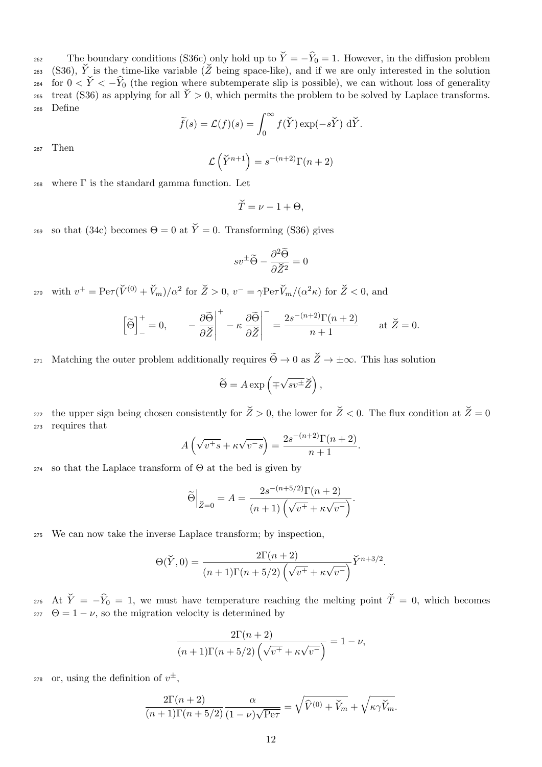The boundary conditions [\(S36c\)](#page-10-1) only hold up to  $\check{Y} = -\hat{Y}_0 = 1$ . However, in the diffusion problem (S36),  $\check{Y}$  is the time-like variable ( $\check{Z}$  being space-like), and if we are only interested in the solution [\(S36\)](#page-10-2),  $\check{Y}$  is the time-like variable ( $\check{Z}$  being space-like), and if we are only interested in the solution for  $0 < \tilde{Y} < -\hat{Y}_0$  (the region where subtemperate slip is possible), we can without loss of generality  $\tilde{Y}_0$  as applying for all  $\tilde{Y}_0 > 0$ , which permits the problem to be solved by Laplace transforms. treat [\(S36\)](#page-10-2) as applying for all  $\check{Y} > 0$ , which permits the problem to be solved by Laplace transforms. <sup>266</sup> Define

$$
\widetilde{f}(s) = \mathcal{L}(f)(s) = \int_0^\infty f(\widetilde{Y}) \exp(-s\widetilde{Y}) d\widetilde{Y}.
$$

<sup>267</sup> Then

$$
\mathcal{L}\left(\check{Y}^{n+1}\right) = s^{-(n+2)}\Gamma(n+2)
$$

268 where  $\Gamma$  is the standard gamma function. Let

$$
\check{T}=\nu-1+\Theta,
$$

269 so that [\(34c\)](#page-0-0) becomes  $\Theta = 0$  at  $\check{Y} = 0$ . Transforming [\(S36\)](#page-10-2) gives

$$
sv^{\pm}\widetilde{\Theta} - \frac{\partial^2 \widetilde{\Theta}}{\partial \check{Z}^2} = 0
$$

270 with  $v^+ = \text{Per}(\check{V}^{(0)} + \check{V}_m)/\alpha^2$  for  $\check{Z} > 0$ ,  $v^- = \gamma \text{Per} \check{V}_m/(\alpha^2 \kappa)$  for  $\check{Z} < 0$ , and

$$
\left[\widetilde{\Theta}\right]_{-}^{+} = 0, \qquad -\frac{\partial \widetilde{\Theta}}{\partial \widetilde{Z}}\bigg|_{-}^{+} - \kappa \frac{\partial \widetilde{\Theta}}{\partial \widetilde{Z}}\bigg|_{-}^{+} = \frac{2s^{-(n+2)}\Gamma(n+2)}{n+1} \qquad \text{at } \widetilde{Z} = 0.
$$

271 Matching the outer problem additionally requires  $\widetilde{\Theta} \to 0$  as  $\widetilde{Z} \to \pm \infty$ . This has solution

$$
\widetilde{\Theta} = A \exp \left( \mp \sqrt{s v^{\pm}} \widetilde{Z} \right),
$$

272 the upper sign being chosen consistently for  $\check{Z} > 0$ , the lower for  $\check{Z} < 0$ . The flux condition at  $\check{Z} = 0$ <sup>273</sup> requires that

$$
A\left(\sqrt{v^+s} + \kappa \sqrt{v^-s}\right) = \frac{2s^{-(n+2)}\Gamma(n+2)}{n+1}.
$$

<sup>274</sup> so that the Laplace transform of Θ at the bed is given by

$$
\widetilde{\Theta}\Big|_{\widetilde{Z}=0} = A = \frac{2s^{-(n+5/2)}\Gamma(n+2)}{(n+1)\left(\sqrt{v^+} + \kappa\sqrt{v^-}\right)}.
$$

<sup>275</sup> We can now take the inverse Laplace transform; by inspection,

$$
\Theta(\check{Y},0) = \frac{2\Gamma(n+2)}{(n+1)\Gamma(n+5/2)\left(\sqrt{v^+} + \kappa\sqrt{v^-}\right)}\check{Y}^{n+3/2}.
$$

276 At  $\check{Y} = -\hat{Y}_0 = 1$ , we must have temperature reaching the melting point  $\check{T} = 0$ , which becomes  $\theta = 1 - \nu$ , so the migration velocity is determined by  $\Theta = 1 - \nu$ , so the migration velocity is determined by

$$
\frac{2\Gamma(n+2)}{(n+1)\Gamma(n+5/2)\left(\sqrt{v^+} + \kappa\sqrt{v^-}\right)} = 1 - \nu,
$$

<sup>278</sup> or, using the definition of  $v^{\pm}$ ,

$$
\frac{2\Gamma(n+2)}{(n+1)\Gamma(n+5/2)}\frac{\alpha}{(1-\nu)\sqrt{\text{Per}}}=\sqrt{\hat{V}^{(0)}+\check{V}_m}+\sqrt{\kappa\gamma\check{V}_m}.
$$